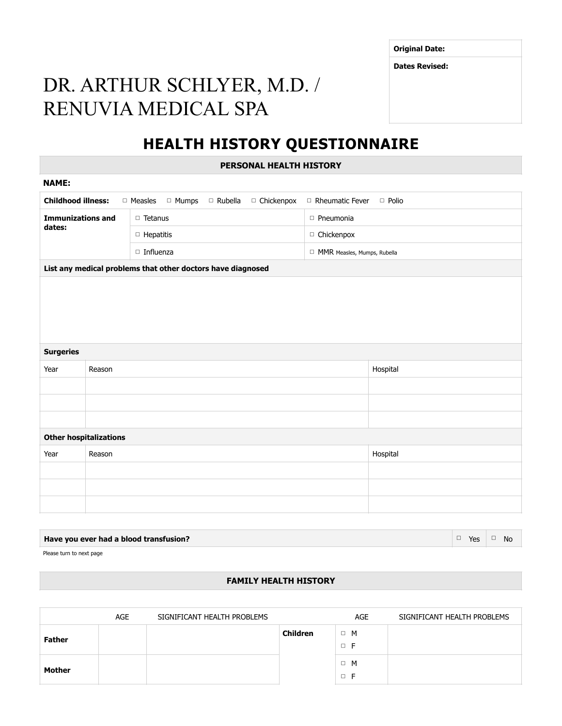**Original Date:**

**Dates Revised:**

# DR. ARTHUR SCHLYER, M.D. / RENUVIA MEDICAL SPA

# **HEALTH HISTORY QUESTIONNAIRE**

**PERSONAL HEALTH HISTORY**

| <b>NAME:</b>              |                                                             |                                                   |                                   |  |  |  |  |  |  |  |
|---------------------------|-------------------------------------------------------------|---------------------------------------------------|-----------------------------------|--|--|--|--|--|--|--|
| <b>Childhood illness:</b> |                                                             | □ Measles<br>□ Mumps<br>□ Rubella<br>□ Chickenpox | □ Rheumatic Fever<br>$\Box$ Polio |  |  |  |  |  |  |  |
| <b>Immunizations and</b>  |                                                             | $\Box$ Tetanus                                    | $\Box$ Pneumonia                  |  |  |  |  |  |  |  |
| dates:                    |                                                             | $\Box$ Hepatitis                                  | $\Box$ Chickenpox                 |  |  |  |  |  |  |  |
|                           |                                                             | $\Box$ Influenza                                  | MMR Measles, Mumps, Rubella       |  |  |  |  |  |  |  |
|                           | List any medical problems that other doctors have diagnosed |                                                   |                                   |  |  |  |  |  |  |  |
|                           |                                                             |                                                   |                                   |  |  |  |  |  |  |  |
|                           |                                                             |                                                   |                                   |  |  |  |  |  |  |  |
|                           |                                                             |                                                   |                                   |  |  |  |  |  |  |  |
|                           |                                                             |                                                   |                                   |  |  |  |  |  |  |  |
|                           |                                                             |                                                   |                                   |  |  |  |  |  |  |  |
| <b>Surgeries</b>          |                                                             |                                                   |                                   |  |  |  |  |  |  |  |
| Year                      | Reason                                                      |                                                   | Hospital                          |  |  |  |  |  |  |  |
|                           |                                                             |                                                   |                                   |  |  |  |  |  |  |  |
|                           |                                                             |                                                   |                                   |  |  |  |  |  |  |  |
|                           |                                                             |                                                   |                                   |  |  |  |  |  |  |  |
|                           | <b>Other hospitalizations</b>                               |                                                   |                                   |  |  |  |  |  |  |  |
| Year                      | Reason                                                      |                                                   | Hospital                          |  |  |  |  |  |  |  |
|                           |                                                             |                                                   |                                   |  |  |  |  |  |  |  |
|                           |                                                             |                                                   |                                   |  |  |  |  |  |  |  |
|                           |                                                             |                                                   |                                   |  |  |  |  |  |  |  |
|                           |                                                             |                                                   |                                   |  |  |  |  |  |  |  |

| Have you ever had a blood transfusion? | Yes | No. |
|----------------------------------------|-----|-----|
|----------------------------------------|-----|-----|

Please turn to next page

## **FAMILY HEALTH HISTORY**

|               | <b>AGE</b> | SIGNIFICANT HEALTH PROBLEMS |                 | AGE                  | SIGNIFICANT HEALTH PROBLEMS |
|---------------|------------|-----------------------------|-----------------|----------------------|-----------------------------|
| <b>Father</b> |            |                             | <b>Children</b> | $\Box$ M<br>$\Box$ F |                             |
| Mother        |            |                             |                 | $\Box$ M<br>$\Box$ F |                             |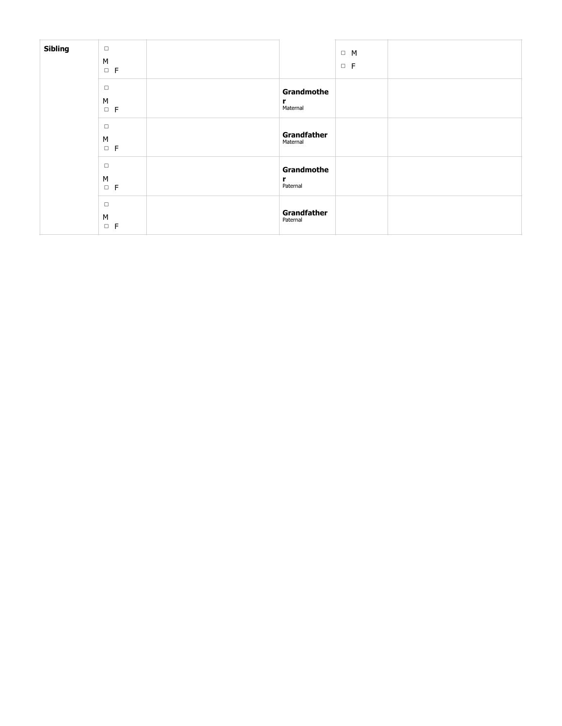| Sibling | $\Box$<br>${\sf M}$<br>$\Box$ F        |                             | $\Box$ M<br>$\Box$ $\vdash$ |  |
|---------|----------------------------------------|-----------------------------|-----------------------------|--|
|         | $\Box$<br>${\sf M}$<br>$\Box$ $\vdash$ | Grandmothe<br>r<br>Maternal |                             |  |
|         | $\Box$<br>${\sf M}$<br>$\Box$ F        | Grandfather<br>Maternal     |                             |  |
|         | $\Box$<br>${\sf M}$<br>$\Box$ F        | Grandmothe<br>r<br>Paternal |                             |  |
|         | $\Box$<br>${\sf M}$<br>$\Box$ F        | Grandfather<br>Paternal     |                             |  |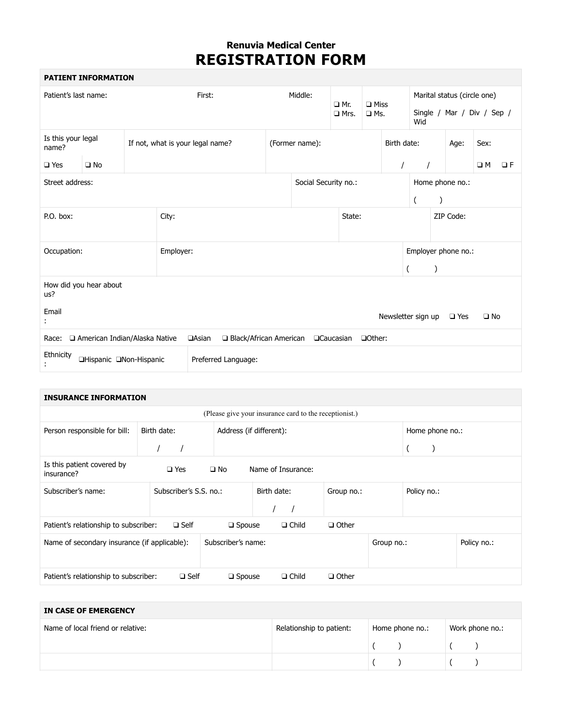# **Renuvia Medical Center REGISTRATION FORM**

 $\overline{\phantom{a}}$ 

|                                                             | <b>PATIENT INFORMATION</b>    |  |           |                                                               |                        |         |                           |                           |         |                                                                  |          |                     |               |              |          |
|-------------------------------------------------------------|-------------------------------|--|-----------|---------------------------------------------------------------|------------------------|---------|---------------------------|---------------------------|---------|------------------------------------------------------------------|----------|---------------------|---------------|--------------|----------|
| Patient's last name:<br>First:                              |                               |  |           |                                                               |                        | Middle: | $\Box$ Mr.<br>$\Box$ Mrs. | $\Box$ Miss<br>$\Box$ Ms. |         | Marital status (circle one)<br>Single / Mar / Div / Sep /<br>Wid |          |                     |               |              |          |
| Is this your legal<br>name?                                 |                               |  |           | If not, what is your legal name?                              |                        |         | (Former name):            |                           |         | Birth date:                                                      |          |                     | Age:          | Sex:         |          |
| $\square$ Yes                                               | $\square$ No                  |  |           |                                                               |                        |         |                           |                           |         | $\prime$                                                         | $\prime$ |                     |               | $\Box M$     | $\Box F$ |
| Street address:                                             |                               |  |           | Social Security no.:<br>Home phone no.:<br>$\mathcal{C}$<br>( |                        |         |                           |                           |         |                                                                  |          |                     |               |              |          |
| P.O. box:                                                   |                               |  | City:     |                                                               |                        |         |                           | State:                    |         |                                                                  |          |                     | ZIP Code:     |              |          |
| Occupation:                                                 |                               |  | Employer: |                                                               |                        |         |                           |                           |         |                                                                  |          | Employer phone no.: |               |              |          |
| How did you hear about<br>us?                               |                               |  |           |                                                               |                        |         |                           |                           |         |                                                                  |          |                     |               |              |          |
| Email                                                       |                               |  |           |                                                               |                        |         |                           |                           |         | Newsletter sign up                                               |          |                     | $\square$ Yes | $\square$ No |          |
| Race:                                                       | American Indian/Alaska Native |  |           | <b>aAsian</b>                                                 | Black/African American |         |                           | <b>QCaucasian</b>         | □Other: |                                                                  |          |                     |               |              |          |
| Ethnicity<br>□Hispanic □Non-Hispanic<br>Preferred Language: |                               |  |           |                                                               |                        |         |                           |                           |         |                                                                  |          |                     |               |              |          |

| <b>INSURANCE INFORMATION</b>                                                                    |  |             |             |                        |                         |  |              |            |              |  |                 |  |  |  |
|-------------------------------------------------------------------------------------------------|--|-------------|-------------|------------------------|-------------------------|--|--------------|------------|--------------|--|-----------------|--|--|--|
| (Please give your insurance card to the receptionist.)                                          |  |             |             |                        |                         |  |              |            |              |  |                 |  |  |  |
| Person responsible for bill:                                                                    |  | Birth date: |             |                        | Address (if different): |  |              |            |              |  | Home phone no.: |  |  |  |
|                                                                                                 |  |             |             |                        |                         |  |              |            |              |  |                 |  |  |  |
| Is this patient covered by<br>$\square$ Yes<br>$\square$ No<br>Name of Insurance:<br>insurance? |  |             |             |                        |                         |  |              |            |              |  |                 |  |  |  |
| Subscriber's name:                                                                              |  |             |             | Subscriber's S.S. no.: |                         |  | Birth date:  |            | Group no.:   |  | Policy no.:     |  |  |  |
| Patient's relationship to subscriber:                                                           |  |             | $\Box$ Self |                        | $\square$ Spouse        |  | $\Box$ Child |            | $\Box$ Other |  |                 |  |  |  |
| Name of secondary insurance (if applicable):                                                    |  |             |             | Subscriber's name:     |                         |  |              | Group no.: |              |  | Policy no.:     |  |  |  |
| Patient's relationship to subscriber:                                                           |  |             | $\Box$ Self |                        | $\square$ Spouse        |  | $\Box$ Child |            | $\Box$ Other |  |                 |  |  |  |

| IN CASE OF EMERGENCY              |                                             |  |  |  |                 |  |  |  |  |  |
|-----------------------------------|---------------------------------------------|--|--|--|-----------------|--|--|--|--|--|
| Name of local friend or relative: | Home phone no.:<br>Relationship to patient: |  |  |  | Work phone no.: |  |  |  |  |  |
|                                   |                                             |  |  |  |                 |  |  |  |  |  |
|                                   |                                             |  |  |  |                 |  |  |  |  |  |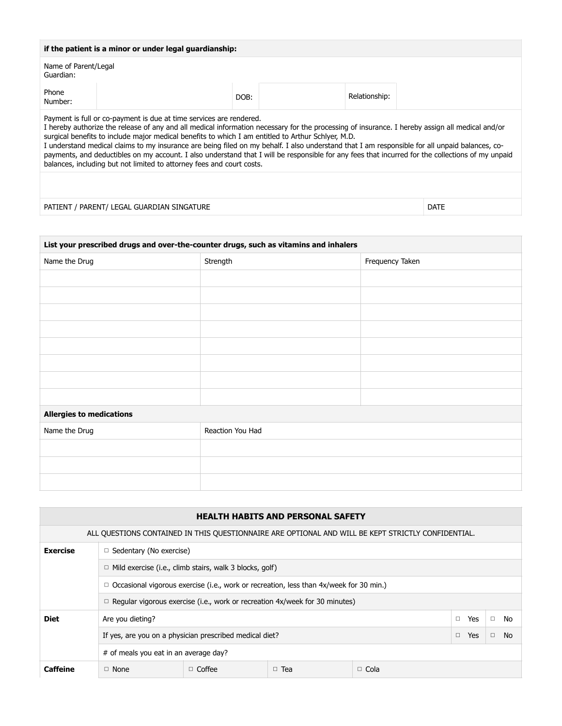| if the patient is a minor or under legal guardianship:                                                                                                                                                                                                                                                                                                                                                                                                                                                                                                                                                                                                                                                       |                                            |      |               |             |  |  |  |  |  |
|--------------------------------------------------------------------------------------------------------------------------------------------------------------------------------------------------------------------------------------------------------------------------------------------------------------------------------------------------------------------------------------------------------------------------------------------------------------------------------------------------------------------------------------------------------------------------------------------------------------------------------------------------------------------------------------------------------------|--------------------------------------------|------|---------------|-------------|--|--|--|--|--|
| Name of Parent/Legal<br>Guardian:                                                                                                                                                                                                                                                                                                                                                                                                                                                                                                                                                                                                                                                                            |                                            |      |               |             |  |  |  |  |  |
| Phone<br>Number:                                                                                                                                                                                                                                                                                                                                                                                                                                                                                                                                                                                                                                                                                             |                                            | DOB: | Relationship: |             |  |  |  |  |  |
| Payment is full or co-payment is due at time services are rendered.<br>I hereby authorize the release of any and all medical information necessary for the processing of insurance. I hereby assign all medical and/or<br>surgical benefits to include major medical benefits to which I am entitled to Arthur Schlyer, M.D.<br>I understand medical claims to my insurance are being filed on my behalf. I also understand that I am responsible for all unpaid balances, co-<br>payments, and deductibles on my account. I also understand that I will be responsible for any fees that incurred for the collections of my unpaid<br>balances, including but not limited to attorney fees and court costs. |                                            |      |               |             |  |  |  |  |  |
|                                                                                                                                                                                                                                                                                                                                                                                                                                                                                                                                                                                                                                                                                                              |                                            |      |               |             |  |  |  |  |  |
|                                                                                                                                                                                                                                                                                                                                                                                                                                                                                                                                                                                                                                                                                                              | PATIENT / PARENT/ LEGAL GUARDIAN SINGATURE |      |               | <b>DATE</b> |  |  |  |  |  |

| List your prescribed drugs and over-the-counter drugs, such as vitamins and inhalers |                  |                 |  |  |  |  |  |
|--------------------------------------------------------------------------------------|------------------|-----------------|--|--|--|--|--|
| Name the Drug                                                                        | Strength         | Frequency Taken |  |  |  |  |  |
|                                                                                      |                  |                 |  |  |  |  |  |
|                                                                                      |                  |                 |  |  |  |  |  |
|                                                                                      |                  |                 |  |  |  |  |  |
|                                                                                      |                  |                 |  |  |  |  |  |
|                                                                                      |                  |                 |  |  |  |  |  |
|                                                                                      |                  |                 |  |  |  |  |  |
|                                                                                      |                  |                 |  |  |  |  |  |
|                                                                                      |                  |                 |  |  |  |  |  |
| <b>Allergies to medications</b>                                                      |                  |                 |  |  |  |  |  |
| Name the Drug                                                                        | Reaction You Had |                 |  |  |  |  |  |
|                                                                                      |                  |                 |  |  |  |  |  |
|                                                                                      |                  |                 |  |  |  |  |  |
|                                                                                      |                  |                 |  |  |  |  |  |

|                 | <b>HEALTH HABITS AND PERSONAL SAFETY</b>                                                           |                                                                |                                                                                    |             |               |              |  |  |  |  |
|-----------------|----------------------------------------------------------------------------------------------------|----------------------------------------------------------------|------------------------------------------------------------------------------------|-------------|---------------|--------------|--|--|--|--|
|                 | ALL QUESTIONS CONTAINED IN THIS QUESTIONNAIRE ARE OPTIONAL AND WILL BE KEPT STRICTLY CONFIDENTIAL. |                                                                |                                                                                    |             |               |              |  |  |  |  |
| <b>Exercise</b> | $\Box$ Sedentary (No exercise)                                                                     |                                                                |                                                                                    |             |               |              |  |  |  |  |
|                 |                                                                                                    | $\Box$ Mild exercise (i.e., climb stairs, walk 3 blocks, golf) |                                                                                    |             |               |              |  |  |  |  |
|                 | $\Box$ Occasional vigorous exercise (i.e., work or recreation, less than 4x/week for 30 min.)      |                                                                |                                                                                    |             |               |              |  |  |  |  |
|                 |                                                                                                    |                                                                | $\Box$ Regular vigorous exercise (i.e., work or recreation 4x/week for 30 minutes) |             |               |              |  |  |  |  |
| <b>Diet</b>     | Are you dieting?                                                                                   |                                                                |                                                                                    |             | $\Box$<br>Yes | $\Box$<br>No |  |  |  |  |
|                 | If yes, are you on a physician prescribed medical diet?                                            | $\Box$<br>Yes                                                  | <b>No</b><br>$\Box$                                                                |             |               |              |  |  |  |  |
|                 | # of meals you eat in an average day?                                                              |                                                                |                                                                                    |             |               |              |  |  |  |  |
| Caffeine        | $\Box$ None                                                                                        | $\Box$ Coffee                                                  | $\Box$ Tea                                                                         | $\Box$ Cola |               |              |  |  |  |  |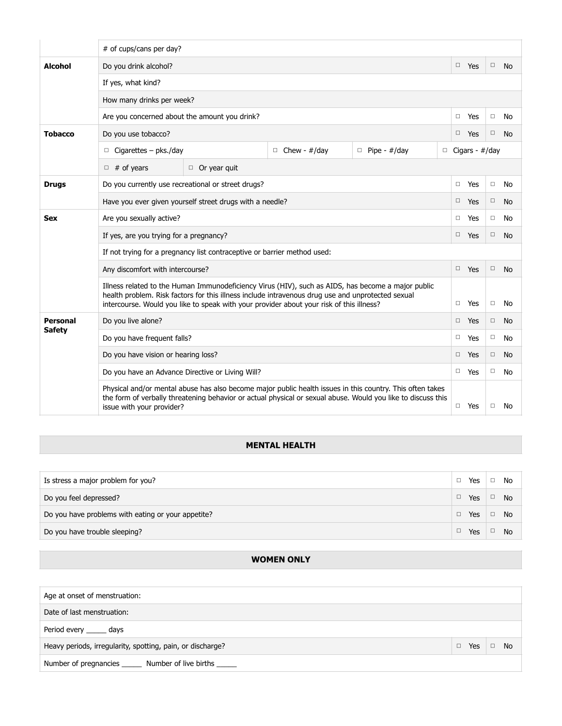|                | # of cups/cans per day?                                                                                                                                                                                                                                                                             |        |                       |        |           |  |  |  |  |
|----------------|-----------------------------------------------------------------------------------------------------------------------------------------------------------------------------------------------------------------------------------------------------------------------------------------------------|--------|-----------------------|--------|-----------|--|--|--|--|
| <b>Alcohol</b> | Do you drink alcohol?                                                                                                                                                                                                                                                                               |        | $\Box$ Yes            | $\Box$ | <b>No</b> |  |  |  |  |
|                | If yes, what kind?                                                                                                                                                                                                                                                                                  |        |                       |        |           |  |  |  |  |
|                | How many drinks per week?                                                                                                                                                                                                                                                                           |        |                       |        |           |  |  |  |  |
|                | Are you concerned about the amount you drink?                                                                                                                                                                                                                                                       | $\Box$ | Yes                   | $\Box$ | No        |  |  |  |  |
| <b>Tobacco</b> | Do you use tobacco?                                                                                                                                                                                                                                                                                 | $\Box$ | Yes                   | $\Box$ | <b>No</b> |  |  |  |  |
|                | $\Box$ Cigarettes – pks./day<br>$\Box$ Chew - #/day<br>$\Box$ Pipe - #/day                                                                                                                                                                                                                          |        | $\Box$ Cigars - #/day |        |           |  |  |  |  |
|                | $\Box$ # of years<br>$\Box$ Or year quit                                                                                                                                                                                                                                                            |        |                       |        |           |  |  |  |  |
| <b>Drugs</b>   | Do you currently use recreational or street drugs?                                                                                                                                                                                                                                                  | $\Box$ | Yes                   | $\Box$ | No        |  |  |  |  |
|                | Have you ever given yourself street drugs with a needle?                                                                                                                                                                                                                                            | $\Box$ | Yes                   | $\Box$ | <b>No</b> |  |  |  |  |
| Sex            | Are you sexually active?                                                                                                                                                                                                                                                                            | $\Box$ | Yes                   | $\Box$ | No        |  |  |  |  |
|                | If yes, are you trying for a pregnancy?                                                                                                                                                                                                                                                             | $\Box$ | Yes                   | $\Box$ | <b>No</b> |  |  |  |  |
|                | If not trying for a pregnancy list contraceptive or barrier method used:                                                                                                                                                                                                                            |        |                       |        |           |  |  |  |  |
|                | Any discomfort with intercourse?                                                                                                                                                                                                                                                                    | $\Box$ | Yes                   | $\Box$ | <b>No</b> |  |  |  |  |
|                | Illness related to the Human Immunodeficiency Virus (HIV), such as AIDS, has become a major public<br>health problem. Risk factors for this illness include intravenous drug use and unprotected sexual<br>intercourse. Would you like to speak with your provider about your risk of this illness? | $\Box$ | Yes                   | □      | No        |  |  |  |  |
| Personal       | Do you live alone?                                                                                                                                                                                                                                                                                  | $\Box$ | Yes                   | $\Box$ | No        |  |  |  |  |
| <b>Safety</b>  | Do you have frequent falls?                                                                                                                                                                                                                                                                         | $\Box$ | Yes                   | $\Box$ | No        |  |  |  |  |
|                | Do you have vision or hearing loss?                                                                                                                                                                                                                                                                 | $\Box$ | Yes                   | $\Box$ | No        |  |  |  |  |
|                | Do you have an Advance Directive or Living Will?                                                                                                                                                                                                                                                    | $\Box$ | Yes                   | $\Box$ | No        |  |  |  |  |
|                | Physical and/or mental abuse has also become major public health issues in this country. This often takes<br>the form of verbally threatening behavior or actual physical or sexual abuse. Would you like to discuss this<br>issue with your provider?                                              | $\Box$ | Yes                   | □      | No        |  |  |  |  |

# **MENTAL HEALTH**

| Is stress a major problem for you?                 | Yes           | $\Box$ | No        |
|----------------------------------------------------|---------------|--------|-----------|
| Do you feel depressed?                             | Yes           | $\Box$ | No.       |
| Do you have problems with eating or your appetite? | Yes $\Box$ No |        |           |
| Do you have trouble sleeping?                      | Yes           | $\Box$ | <b>No</b> |

## **WOMEN ONLY**

| Age at onset of menstruation:                              |     |        |           |
|------------------------------------------------------------|-----|--------|-----------|
| Date of last menstruation:                                 |     |        |           |
| Period every ______ days                                   |     |        |           |
| Heavy periods, irregularity, spotting, pain, or discharge? | Yes | $\Box$ | <b>No</b> |
| Number of pregnancies _______ Number of live births ______ |     |        |           |